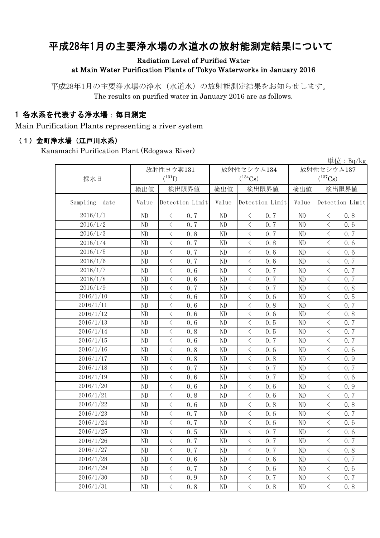# 平成28年1月の主要浄水場の水道水の放射能測定結果について

### Radiation Level of Purified Water at Main Water Purification Plants of Tokyo Waterworks in January 2016

平成28年1月の主要浄水場の浄水(水道水)の放射能測定結果をお知らせします。 The results on purified water in January 2016 are as follows.

### 1 各水系を代表する浄水場:毎日測定

Main Purification Plants representing a river system

#### (1)金町浄水場(江戸川水系)

Kanamachi Purification Plant (Edogawa River)

|                  |          |                                                 |          |                                                                                                               |                       | 単位: $Bq/kg$                                     |  |
|------------------|----------|-------------------------------------------------|----------|---------------------------------------------------------------------------------------------------------------|-----------------------|-------------------------------------------------|--|
|                  |          | 放射性ヨウ素131                                       |          | 放射性セシウム134                                                                                                    | 放射性セシウム137            |                                                 |  |
| 採水日              |          | $(^{131}I)$                                     |          | $(^{134}Cs)$                                                                                                  | $(^{137}\mathrm{Cs})$ |                                                 |  |
|                  | 検出値      | 検出限界値                                           | 検出値      | 検出限界値                                                                                                         | 検出値                   | 検出限界値                                           |  |
| Sampling<br>date | Value    | Detection Limit                                 | Value    | Detection Limit                                                                                               | Value                 | Detection Limit                                 |  |
| 2016/1/1         | ND       | 0.7<br>$\lt$                                    | ND       | 0.7<br>$\langle$                                                                                              | ND                    | 0.8<br>$\langle$                                |  |
| 2016/1/2         | ND       | $\overline{\left\langle \right\rangle }$<br>0.7 | ND       | $\,$ $\,$ $\,$<br>0.7                                                                                         | ND                    | $\overline{\left\langle \right\rangle }$<br>0.6 |  |
| 2016/1/3         | ND       | $\langle$<br>0.8                                | ND       | $\langle$<br>0.7                                                                                              | ND                    | $\langle$<br>0.7                                |  |
| 2016/1/4         | ND       | $\,$ $\,$ $\,$<br>0.7                           | ND       | $\big\langle$<br>0.8                                                                                          | ND                    | $\overline{\left\langle \right\rangle }$<br>0.6 |  |
| 2016/1/5         | ND       | $\langle$<br>0.7                                | ND       | $\, \triangleleft$<br>0.6                                                                                     | ND                    | $\lt$<br>0.6                                    |  |
| 2016/1/6         | ND       | $\,$ $\,$ $\,$<br>0.7                           | ND       | $\,$ $\,$ $\,$<br>0.6                                                                                         | ND                    | $\langle$<br>0.7                                |  |
| 2016/1/7         | ND       | $\langle$<br>0.6                                | ND       | $\langle$<br>0.7                                                                                              | ND                    | $\overline{\left\langle \right\rangle }$<br>0.7 |  |
| 2016/1/8         | ND       | $\langle$<br>0.6                                | ND       | $\, \triangleleft$<br>0.7                                                                                     | ND                    | 0.7                                             |  |
| 2016/1/9         | ND       | $\lt$<br>0.7                                    | ND       | $\,$ $\,$ $\,$<br>0.7                                                                                         | ND                    | $\langle$<br>0.8                                |  |
| 2016/1/10        | ND       | $\langle$<br>0.6                                | ND       | $\,$ $\,$ $\,$<br>0.6                                                                                         | ND                    | $\overline{\left\langle \right\rangle }$<br>0.5 |  |
| 2016/1/11        | ND       | $\langle$<br>0.6                                | ND       | $\,$ $\,$ $\,$<br>0.8                                                                                         | ND                    | $\lt$<br>0.7                                    |  |
| 2016/1/12        | ND       | $\lt$<br>0.6                                    | ND       | $\langle$<br>0.6                                                                                              | ND                    | $\lt$<br>0.8                                    |  |
| 2016/1/13        | ND       | $\lt$<br>0.6                                    | ND       | $\lt$<br>0.5                                                                                                  | ND                    | $\langle$<br>0.7                                |  |
| 2016/1/14        | $\rm ND$ | $\langle$<br>0.8                                | ND       | $\langle$<br>0.5                                                                                              | ND                    | $\overline{\left\langle \right\rangle }$<br>0.7 |  |
| 2016/1/15        | ND       | $\langle$<br>0.6                                | ND       | $\,$ $\,$ $\,$<br>0.7                                                                                         | ND                    | $\lt$<br>0.7                                    |  |
| 2016/1/16        | ND       | $\lt$<br>0.8                                    | ND       | $\,$ $\,$ $\,$<br>0.6                                                                                         | ND                    | $\langle$<br>0.6                                |  |
| 2016/1/17        | ND       | $\lt$<br>0.8                                    | ND       | $\,$ $\,$ $\,$<br>0.8                                                                                         | ND                    | $\lt$<br>0.9                                    |  |
| 2016/1/18        | ND       | $\langle$<br>0.7                                | ND       | $\langle$<br>0.7                                                                                              | ND                    | $\lt$<br>0.7                                    |  |
| 2016/1/19        | ND       | $\,$ $\,$ $\,$<br>0.6                           | ND       | $\,$ $\,$ $\,$<br>0.7                                                                                         | ND                    | $\overline{\left\langle \right\rangle }$<br>0.6 |  |
| 2016/1/20        | ND       | $\langle$<br>0.6                                | ND       | $\hspace{0.1mm}\mathopen{\begin{array}{c}\mathopen{\fbox{$\scriptstyle<\}}\end{array}}\hspace{-0.1mm}$<br>0.6 | ND                    | $\lt$<br>0.9                                    |  |
| 2016/1/21        | ND       | $\hspace{0.1mm}\big\langle$<br>0.8              | ND       | $\langle$<br>0.6                                                                                              | ND                    | 0.7<br>$\langle$                                |  |
| 2016/1/22        | ND       | $\langle$<br>0.6                                | ND       | $\langle$<br>0.8                                                                                              | ND                    | $\langle$<br>0.8                                |  |
| 2016/1/23        | ND       | $\langle$<br>0.7                                | ND       | $\lt$<br>0.6                                                                                                  | ND                    | $\lt$<br>0.7                                    |  |
| 2016/1/24        | ND       | $\langle$<br>0.7                                | ND       | $\,$ $\,$ $\,$<br>0.6                                                                                         | ND                    | $\langle$<br>0.6                                |  |
| 2016/1/25        | ND       | $\hspace{0.1mm}\big\langle$<br>0.5              | ND       | $\, \zeta \,$<br>0.7                                                                                          | ND                    | $\langle$<br>0.6                                |  |
| 2016/1/26        | $\rm ND$ | $\langle$<br>0.7                                | $\rm ND$ | $\langle$<br>0.7                                                                                              | $\rm ND$              | $0.7\,$<br>$\langle$                            |  |
| 2016/1/27        | ND       | $\langle$<br>0.7                                | ND       | $\lt$<br>0.7                                                                                                  | ND                    | $\langle$<br>0.8                                |  |
| 2016/1/28        | ND       | $\langle$<br>0.6                                | ND       | $\langle$<br>0.6                                                                                              | ND                    | 0.7<br>$\lt$                                    |  |
| 2016/1/29        | ND       | $\, \big\langle \,$<br>0.7                      | ND       | $\langle$<br>0.6                                                                                              | ND                    | $\lt$<br>0.6                                    |  |
| 2016/1/30        | ND       | $\langle$<br>0.9                                | ND       | $\langle$<br>0.7                                                                                              | ND                    | $\langle$<br>0.7                                |  |
| 2016/1/31        | ND       | $\langle$<br>0.8                                | ND       | $\langle$<br>0.8                                                                                              | ND                    | $\langle$<br>0.8                                |  |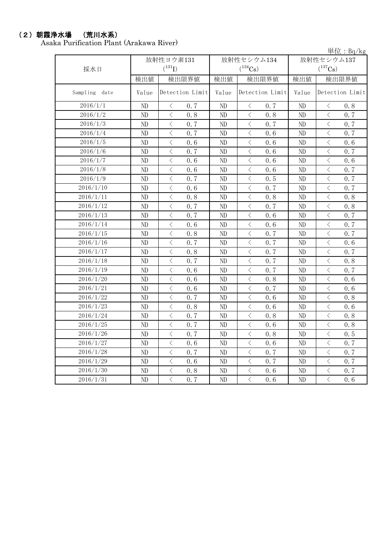## (2)朝霞浄水場 (荒川水系)

Asaka Purification Plant (Arakawa River)

単位:Bq/kg

|               |             | 放射性ヨウ素131                                       |          | 放射性セシウム134                                      | 放射性セシウム137 |                                                 |  |
|---------------|-------------|-------------------------------------------------|----------|-------------------------------------------------|------------|-------------------------------------------------|--|
| 採水日           | $(^{131}I)$ |                                                 |          | $(^{134}\text{Cs})$                             |            | $(^{137}Cs)$                                    |  |
|               | 検出値         | 検出限界値                                           | 検出値      | 検出限界値                                           | 検出値        | 検出限界値                                           |  |
| Sampling date | Value       | Detection Limit                                 | Value    | Detection Limit                                 | Value      | Detection Limit                                 |  |
| 2016/1/1      | $\rm ND$    | 0.7<br>$\langle$                                | ND       | 0.7<br>$\lt$                                    | ND         | 0.8<br>$\langle$                                |  |
| 2016/1/2      | ND          | $\overline{\left\langle \right\rangle }$<br>0.8 | ND       | $\langle$<br>0.8                                | ND         | $\overline{\left\langle \right\rangle }$<br>0.7 |  |
| 2016/1/3      | ND          | $\overline{\left\langle \right\rangle }$<br>0.7 | ND       | $\langle$<br>0.7                                | ND         | $\lt$<br>0.7                                    |  |
| 2016/1/4      | ND          | $\langle$<br>0.7                                | ND       | $\langle$<br>0.6                                | ND         | $\overline{\left\langle \right\rangle }$<br>0.7 |  |
| 2016/1/5      | ND          | $\langle$<br>0.6                                | ND       | $\langle$<br>0.6                                | ND         | $\lt$<br>0.6                                    |  |
| 2016/1/6      | ND          | $\langle$<br>0.7                                | ND       | $\lt$<br>0.6                                    | ND         | $\lt$<br>0.7                                    |  |
| 2016/1/7      | ND          | $\lt$<br>0.6                                    | ND       | $\lt$<br>0.6                                    | ND         | $\lt$<br>0.6                                    |  |
| 2016/1/8      | ND          | $\, \big\langle \,$<br>0.6                      | ND       | $\lt$<br>0.6                                    | ND         | $\langle$<br>0.7                                |  |
| 2016/1/9      | ND          | $\langle$<br>0.7                                | ND       | $\lt$<br>0.5                                    | ND         | $\langle$<br>0.7                                |  |
| 2016/1/10     | $\rm ND$    | $\langle$<br>0.6                                | ND       | $\langle$<br>0.7                                | ND         | $\langle$<br>0.7                                |  |
| 2016/1/11     | $\rm ND$    | $\langle$<br>0.8                                | ND       | $\lt$<br>0.8                                    | ND         | $\lt$<br>0.8                                    |  |
| 2016/1/12     | ND          | $\langle$<br>0.7                                | ND       | $\langle$<br>0.7                                | ND         | $\lt$<br>0.8                                    |  |
| 2016/1/13     | ND          | $\overline{\left\langle \right\rangle }$<br>0.7 | ND       | $\langle$<br>0.6                                | ND         | $\langle$<br>0.7                                |  |
| 2016/1/14     | ND          | $\langle$<br>0.6                                | ND       | $\langle$<br>0.6                                | ND         | $\lt$<br>0.7                                    |  |
| 2016/1/15     | ND          | $\langle$<br>0.8                                | ND       | $\langle$<br>0.7                                | ND         | $\langle$<br>0.7                                |  |
| 2016/1/16     | ND          | $\langle$<br>0.7                                | ND       | $\langle$<br>0.7                                | ND         | $\overline{\left\langle \right\rangle }$<br>0.6 |  |
| 2016/1/17     | ND          | $\langle$<br>0.8                                | ND       | $\lt$<br>0.7                                    | ND         | $\overline{\left\langle \right\rangle }$<br>0.7 |  |
| 2016/1/18     | ND          | $\langle$<br>0.7                                | ND       | $\overline{\left\langle \right\rangle }$<br>0.7 | ND         | $\overline{\left\langle \right\rangle }$<br>0.8 |  |
| 2016/1/19     | ND          | $\lt$<br>0.6                                    | ND       | $\lt$<br>0.7                                    | ND         | $\langle$<br>0.7                                |  |
| 2016/1/20     | ND          | $\langle$<br>0.6                                | ND       | $\langle$<br>0.8                                | ND         | $\langle$<br>0.6                                |  |
| 2016/1/21     | ND          | $\overline{\left\langle \right\rangle }$<br>0.6 | ND       | $\langle$<br>0.7                                | ND         | $\overline{\left\langle \right\rangle }$<br>0.6 |  |
| 2016/1/22     | ND          | $\lt$<br>0.7                                    | ND       | $\lt$<br>0.6                                    | ND         | $\lt$<br>0.8                                    |  |
| 2016/1/23     | ND          | $\langle$<br>0.8                                | ND       | $\lt$<br>0.6                                    | ND         | $\langle$<br>0.6                                |  |
| 2016/1/24     | ND          | $\langle$<br>0.7                                | ND       | $\lt$<br>0.8                                    | ND         | $\langle$<br>0.8                                |  |
| 2016/1/25     | $\rm ND$    | $\lt$<br>0.7                                    | ND       | $\lt$<br>0.6                                    | ND         | $\lt$<br>0.8                                    |  |
| 2016/1/26     | ND          | 0.7<br>$\lt$                                    | ND       | $\lt$<br>0.8                                    | ND         | 0.5<br>$\lt$                                    |  |
| 2016/1/27     | ND          | $\langle$<br>0.6                                | ND       | $\langle$<br>0.6                                | ND         | 0.7<br>$\langle$                                |  |
| 2016/1/28     | ND          | $\langle$<br>0.7                                | ND       | $\,$ $\,$ $\,$<br>0.7                           | ND         | $\langle$<br>0.7                                |  |
| 2016/1/29     | $\rm ND$    | $\langle$<br>0.6                                | $\rm ND$ | $\lt$<br>0.7                                    | $\rm ND$   | $\lt$<br>0.7                                    |  |
| 2016/1/30     | ND          | $\langle$<br>0.8                                | ND       | $\lt$<br>0.6                                    | $\rm ND$   | $\lt$<br>0.7                                    |  |
| 2016/1/31     | ND          | $\langle$<br>0.7                                | ND       | $\lt$<br>0.6                                    | ND         | $\overline{\left\langle \right\rangle }$<br>0.6 |  |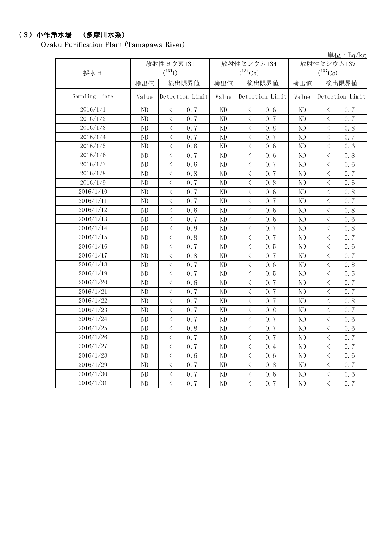# (3)小作浄水場 (多摩川水系)

Ozaku Purification Plant (Tamagawa River)

単位:Bq/kg

| 採水日           |          | 放射性ヨウ素131<br>$(^{131}I)$                        |          | 放射性セシウム134<br>$(^{134}Cs)$ | 放射性セシウム137<br>$(^{137}Cs)$ |                                                 |  |
|---------------|----------|-------------------------------------------------|----------|----------------------------|----------------------------|-------------------------------------------------|--|
|               | 検出値      | 検出限界値                                           | 検出値      | 検出限界値                      | 検出値                        | 検出限界値                                           |  |
| Sampling date | Value    | Detection Limit                                 | Value    | Detection Limit            | Value                      | Detection Limit                                 |  |
| 2016/1/1      | ND       | 0.7<br>$\langle$                                | ND       | 0.6<br>$\lt$               | ND                         | 0.7<br>$\langle$                                |  |
| 2016/1/2      | ND       | $\langle$<br>0, 7                               | ND       | $\langle$<br>0.7           | ND                         | $\overline{\left\langle \right\rangle }$<br>0.7 |  |
| 2016/1/3      | ND       | $\overline{\left\langle \right\rangle }$<br>0.7 | ND       | $\langle$<br>0.8           | ND                         | $\lt$<br>0.8                                    |  |
| 2016/1/4      | ND       | $\lt$<br>0.7                                    | ND       | $\,$ $\,$ $\,$<br>0.7      | ND                         | $\lt$<br>0.7                                    |  |
| 2016/1/5      | ND       | $\overline{\left\langle \right\rangle }$<br>0.6 | ND       | $\langle$<br>0.6           | ND                         | $\langle$<br>0.6                                |  |
| 2016/1/6      | $\rm ND$ | $\langle$<br>0.7                                | ND       | $\lt$<br>0.6               | ND                         | $\langle$<br>0.8                                |  |
| 2016/1/7      | ND       | $\langle$<br>0.6                                | ND       | $\lt$<br>0.7               | ND                         | $\lt$<br>0.6                                    |  |
| 2016/1/8      | ND       | $\lt$<br>0.8                                    | ND       | $\,$ $\,$ $\,$<br>0.7      | ND                         | $\lt$<br>0.7                                    |  |
| 2016/1/9      | ND       | $\langle$<br>0.7                                | ND       | $\,$ $\,$ $\,$<br>0.8      | ND                         | $\lt$<br>0.6                                    |  |
| 2016/1/10     | ND       | $\lt$<br>0.7                                    | ND       | $\lt$<br>0.6               | ND                         | $\lt$<br>0.8                                    |  |
| 2016/1/11     | ND       | 0.7<br>$\lt$                                    | ND       | $\langle$<br>0.7           | ND                         | 0, 7<br>$\lt$                                   |  |
| 2016/1/12     | ND       | $\langle$<br>0.6                                | ND       | $\lt$<br>0.6               | ND                         | $\lt$<br>0.8                                    |  |
| 2016/1/13     | ND       | $\langle$<br>0.7                                | ND       | $\,<\,$<br>0.6             | ND                         | $\lt$<br>0.6                                    |  |
| 2016/1/14     | ND       | $\lt$<br>0.8                                    | ND       | $\,<\,$<br>0.7             | ND                         | $\lt$<br>0.8                                    |  |
| 2016/1/15     | ND       | $\langle$<br>0.8                                | ND       | $\lt$<br>0.7               | ND                         | $\lt$<br>0.7                                    |  |
| 2016/1/16     | ND       | $\langle$<br>0.7                                | ND       | $\,$ $\,$ $\,$<br>0.5      | ND                         | $\overline{\left\langle \right\rangle }$<br>0.6 |  |
| 2016/1/17     | ND       | $\langle$<br>0.8                                | ND       | $\lt$<br>0.7               | ND                         | $\overline{\left\langle \right\rangle }$<br>0.7 |  |
| 2016/1/18     | ND       | $\lt$<br>0.7                                    | ND       | $\lt$<br>0.6               | ND                         | $\overline{\left\langle \right\rangle }$<br>0.8 |  |
| 2016/1/19     | ND       | $\langle$<br>0.7                                | ND       | $\langle$<br>0.5           | ND                         | $\overline{\left\langle \right\rangle }$<br>0.5 |  |
| 2016/1/20     | ND       | $\langle$<br>0.6                                | ND       | $\,$ $\,$ $\,$<br>0.7      | ND                         | $\overline{\left\langle \right\rangle }$<br>0.7 |  |
| 2016/1/21     | ND       | $\lt$<br>0.7                                    | ND       | $\lt$<br>0.7               | ND                         | $\lt$<br>0.7                                    |  |
| 2016/1/22     | ND       | $\langle$<br>0.7                                | ND       | $\langle$<br>0.7           | ND                         | $\langle$<br>0.8                                |  |
| 2016/1/23     | ND       | $\overline{\left\langle \right\rangle }$<br>0.7 | ND       | $\langle$<br>0.8           | ND                         | $\overline{\left\langle \right\rangle }$<br>0.7 |  |
| 2016/1/24     | $\rm ND$ | $\langle$<br>0.7                                | ND       | $\langle$<br>0.7           | ND                         | $\langle$<br>0.6                                |  |
| 2016/1/25     | $\rm ND$ | $\langle$<br>0.8                                | ND       | $\langle$<br>0.7           | ND                         | $\lt$<br>0.6                                    |  |
| 2016/1/26     | ND       | $\lt$<br>0.7                                    | ND       | $\lt$<br>0.7               | ND                         | $\lt$<br>0.7                                    |  |
| 2016/1/27     | $\rm ND$ | $\lt$<br>0.7                                    | ND       | $\lt$<br>0.4               | ND                         | $\langle$<br>0.7                                |  |
| 2016/1/28     | $\rm ND$ | $\lt$<br>0.6                                    | ND       | $\, < \,$<br>0.6           | ND                         | $\lt$<br>0.6                                    |  |
| 2016/1/29     | ND       | $\langle$<br>0.7                                | $\rm ND$ | $\lt$<br>0.8               | ND                         | $\langle$<br>0.7                                |  |
| 2016/1/30     | ND       | $\, \big\langle \,$<br>0.7                      | ND       | $\lt$<br>0.6               | ND                         | $\langle$<br>0.6                                |  |
| 2016/1/31     | ND       | $\langle$<br>0.7                                | ND       | $\,$ $\,$ $\,$<br>0.7      | ND                         | $\lt$<br>0.7                                    |  |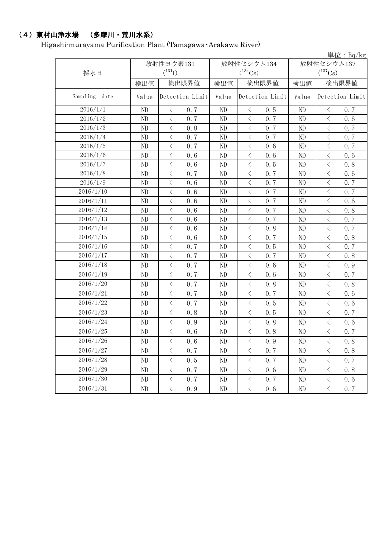# (4)東村山浄水場 (多摩川・荒川水系)

Higashi-murayama Purification Plant (Tamagawa・Arakawa River)

|                  |       |                      |       |          |                                          |      |              |                                          | 単位: $Bq/kg$ |  |
|------------------|-------|----------------------|-------|----------|------------------------------------------|------|--------------|------------------------------------------|-------------|--|
|                  |       | 放射性ヨウ素131            |       |          | 放射性セシウム134                               |      |              | 放射性セシウム137                               |             |  |
| 採水日              |       | $({}^{131}\text{I})$ |       |          | $(^{134}\mathrm{Cs})$                    |      | $(^{137}Cs)$ |                                          |             |  |
|                  | 検出値   |                      | 検出限界値 | 検出値      | 検出限界値                                    |      | 検出値          | 検出限界値                                    |             |  |
| Sampling<br>date | Value | Detection Limit      |       | Value    | Detection Limit                          |      | Value        | Detection Limit                          |             |  |
| 2016/1/1         | ND    | $\langle$            | 0.7   | ND       | $\langle$                                | 0.5  | ND           | $\langle$                                | 0.7         |  |
| 2016/1/2         | ND    | $\lt$                | 0.7   | ND       | $\langle$                                | 0.7  | ND           | $\langle$                                | 0.6         |  |
| 2016/1/3         | ND    | $\langle$            | 0.8   | ND       | $\langle$                                | 0, 7 | ND           | $\overline{\left\langle \right\rangle }$ | 0.7         |  |
| 2016/1/4         | ND    | $\langle$            | 0.7   | ND       | $\langle$                                | 0.7  | ND           | $\langle$                                | 0.7         |  |
| 2016/1/5         | ND    | $\langle$            | 0.7   | ND       | $\lt$                                    | 0.6  | ND           | $\lt$                                    | 0.7         |  |
| 2016/1/6         | ND    | $\langle$            | 0.6   | ND       | $\,$ $\,$ $\,$                           | 0.6  | ND           | $\lt$                                    | 0.6         |  |
| 2016/1/7         | ND    | $\, <\,$             | 0.6   | ND       | $\,$ $\,$ $\,$                           | 0.5  | ND           | $\lt$                                    | 0.8         |  |
| 2016/1/8         | ND    | $\langle$            | 0.7   | ND       | $\, \leq$                                | 0.7  | ND           | $\langle$                                | 0.6         |  |
| 2016/1/9         | ND    | $\,$ $\,$ $\,$       | 0.6   | ND       | $\overline{\left\langle \right\rangle }$ | 0.7  | ND           | $\langle$                                | 0.7         |  |
| 2016/1/10        | ND    | $\lt$                | 0.6   | ND       | $\lt$                                    | 0.7  | ND           | $\lt$                                    | 0.7         |  |
| 2016/1/11        | ND    | $\lt$                | 0.6   | ND       | $\, < \,$                                | 0.7  | ND           | $\lt$                                    | 0.6         |  |
| 2016/1/12        | ND    | $\,$ $\,$ $\,$       | 0.6   | ND       | $\, <\,$                                 | 0.7  | ND           | $\langle$                                | 0.8         |  |
| 2016/1/13        | ND    | $\lt$                | 0.6   | ND       | $\lt$                                    | 0.7  | ND           | $\langle$                                | 0.7         |  |
| 2016/1/14        | ND    | $\,$ $\,$ $\,$       | 0.6   | ND       | $\,$ $\,$ $\,$                           | 0.8  | ND           | $\overline{\left\langle \right\rangle }$ | 0.7         |  |
| 2016/1/15        | ND    | $\langle$            | 0.6   | ND       | $\, < \,$                                | 0.7  | ND           | $\lt$                                    | 0.8         |  |
| 2016/1/16        | ND    | $\langle$            | 0.7   | ND       | $\lt$                                    | 0.5  | ND           | $\langle$                                | 0.7         |  |
| 2016/1/17        | ND    | $\langle$            | 0.7   | ND       | $\, <\,$                                 | 0.7  | ND           | $\langle$                                | 0.8         |  |
| 2016/1/18        | ND    | $\langle$            | 0.7   | ND       | $\, <\,$                                 | 0.6  | ND           | $\langle$                                | 0.9         |  |
| 2016/1/19        | ND    | $\,$ $\,$ $\,$       | 0.7   | ND       | $\overline{\left\langle \right\rangle }$ | 0.6  | ND           | $\langle$                                | 0.7         |  |
| 2016/1/20        | ND    | $\lt$                | 0.7   | ND       | $\lt$                                    | 0.8  | ND           | $\lt$                                    | 0.8         |  |
| 2016/1/21        | ND    | $\langle$            | 0.7   | ND       | $\langle$                                | 0.7  | ND           | $\langle$                                | 0.6         |  |
| 2016/1/22        | ND    | $\langle$            | 0.7   | ND       | $\, \leq$                                | 0.5  | ND           | $\langle$                                | 0.6         |  |
| 2016/1/23        | ND    | $\langle$            | 0.8   | ND       | $\langle$                                | 0.5  | ND           | $\langle$                                | 0.7         |  |
| 2016/1/24        | ND    | $\big\langle$        | 0.9   | ND       | $\lt$                                    | 0.8  | ND           | $\langle$                                | 0.6         |  |
| 2016/1/25        | ND    | $\langle$            | 0.6   | ND       | $\,$ $\,$ $\,$                           | 0.8  | $\rm ND$     | $\overline{\left\langle \right\rangle }$ | 0.7         |  |
| 2016/1/26        | ND    | $\langle$            | 0.6   | ND       | $\langle$                                | 0.9  | ND           | $\langle$                                | 0.8         |  |
| 2016/1/27        | ND    | $\langle$            | 0.7   | ND       | $\, < \,$                                | 0.7  | ND           | $\, <\,$                                 | 0.8         |  |
| 2016/1/28        | ND    | $\, <\,$             | 0.5   | ND       | $\, <\,$                                 | 0.7  | ND           | $\mathord{\langle}$                      | 0.7         |  |
| 2016/1/29        | ND    | $\langle$            | 0.7   | ND       | $\, <\,$                                 | 0.6  | ND           | $\langle$                                | 0.8         |  |
| 2016/1/30        | ND    | $\, <\,$             | 0.7   | ND       | $\, <\,$                                 | 0.7  | ND           | $\langle$                                | 0.6         |  |
| 2016/1/31        | ND    | $\langle$            | 0.9   | $\rm ND$ | $\bigl\langle$                           | 0.6  | ND           | $\langle$                                | 0.7         |  |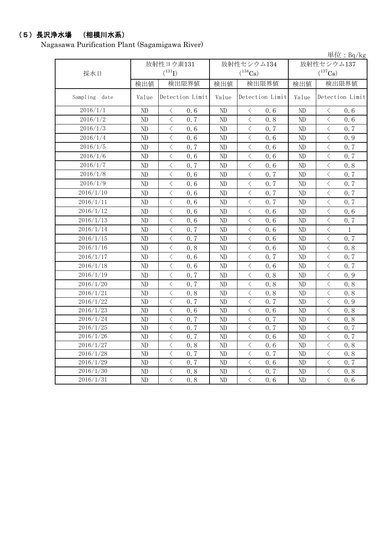#### (5)長沢浄水場 (相模川水系)

Nagasawa Purification Plant (Sagamigawa River)

単位:Bq/kg 検出値 | 検出限量 | 検出限界値 | 検出値 | 検出限界値 Sampling date | Value Detection Limit | Value Detection Limit | Value Detection Limit ND < 0.6 ND < 0.6 ND < 0.6 ND < 0.7 ND < 0.8 ND < 0.6 ND  $\vert$   $\langle$  0.6  $\vert$  ND  $\vert$   $\langle$  0.7  $\vert$  ND  $\vert$   $\langle$  0.7 ND < 0.6 ND < 0.6 ND < 0.9 ND  $\vert$   $\langle$  0.7  $\vert$  ND  $\vert$   $\langle$  0.6  $\vert$  ND  $\vert$   $\langle$  0.7 ND  $\vert$   $\langle$  0.6  $\vert$  ND  $\vert$   $\langle$  0.6  $\vert$  ND  $\vert$   $\langle$  0.7 ND < 0.7 ND < 0.6 ND < 0.8 ND  $\vert$   $\langle$  0.6  $\vert$  ND  $\vert$   $\langle$  0.7  $\vert$  ND  $\vert$   $\langle$  0.7 ND  $\vert$   $\langle$  0.6  $\vert$  ND  $\vert$   $\langle$  0.7  $\vert$  ND  $\vert$   $\langle$  0.7 ND  $\vert$   $\langle$  0.6  $\vert$  ND  $\vert$   $\langle$  0.7  $\vert$  ND  $\vert$   $\langle$  0.7 ND  $\vert$   $\langle$  0.6  $\vert$  ND  $\vert$   $\langle$  0.7  $\vert$  ND  $\vert$   $\langle$  0.7 ND < 0.6 ND < 0.6 ND < 0.6 ND  $\vert$   $\langle$  0.6  $\vert$  ND  $\vert$   $\langle$  0.6  $\vert$  ND  $\vert$   $\langle$  0.7  $ND \leq 0.7 \text{ } N\text{D} \leq 0.6 \text{ } N\text{D} \leq 1$ ND  $\vert$   $\langle$  0.7  $\vert$  ND  $\vert$   $\langle$  0.6  $\vert$  ND  $\vert$   $\langle$  0.7 ND < 0.8 ND < 0.6 ND < 0.8 ND  $\vert$   $\langle$  0.6  $\vert$  ND  $\vert$   $\langle$  0.7  $\vert$  ND  $\vert$   $\langle$  0.7 ND  $\vert$   $\langle$  0.6  $\vert$  ND  $\vert$   $\langle$  0.6  $\vert$  ND  $\vert$   $\langle$  0.7 ND < 0.7 ND < 0.8 ND < 0.9 ND < 0.7 ND < 0.8 ND < 0.8 ND < 0.8 ND < 0.8 ND < 0.8 ND  $\vert$   $\langle$  0.7  $\vert$  ND  $\vert$   $\langle$  0.7  $\vert$  ND  $\vert$   $\langle$  0.9 ND < 0.6 ND < 0.6 ND < 0.8 ND  $\vert$   $\langle$  0.7  $\vert$  ND  $\vert$   $\langle$  0.7  $\vert$  ND  $\vert$   $\langle$  0.8 ND  $\vert$   $\langle$  0.7  $\vert$  ND  $\vert$   $\langle$  0.7  $\vert$  ND  $\vert$   $\langle$  0.7 ND  $\vert$   $\langle$  0.7  $\vert$  ND  $\vert$   $\langle$  0.6  $\vert$  ND  $\vert$   $\langle$  0.7 ND < 0.8 ND < 0.6 ND < 0.8 ND  $\vert$   $\langle$  0.7  $\vert$  ND  $\vert$   $\langle$  0.7  $\vert$  ND  $\vert$   $\langle$  0.8 ND  $\vert$   $\langle$  0.7  $\vert$  ND  $\vert$   $\langle$  0.6  $\vert$  ND  $\vert$   $\langle$  0.7 ND  $\vert$  < 0.8 | ND  $\vert$  < 0.7 | ND  $\vert$  < 0.8 ND < 0.8 ND < 0.6 ND < 0.6 2016/1/12 2016/1/13 2016/1/14 2016/1/15 2016/1/22 2016/1/21 2016/1/18 2016/1/16 2016/1/20 2016/1/26 2016/1/27 2016/1/28 2016/1/29 2016/1/30 2016/1/25 2016/1/23 2016/1/31 2016/1/24 2016/1/19 採水日 放射性ヨウ素131  $(^{131}\text{I})$ 放射性セシウム134  $(^{134}Cs)$ 放射性セシウム137  $(^{137}Cs)$ 2016/1/17 2016/1/2 2016/1/1 2016/1/11 2016/1/9 2016/1/8 2016/1/4 2016/1/10 2016/1/5 2016/1/6 2016/1/7 2016/1/3